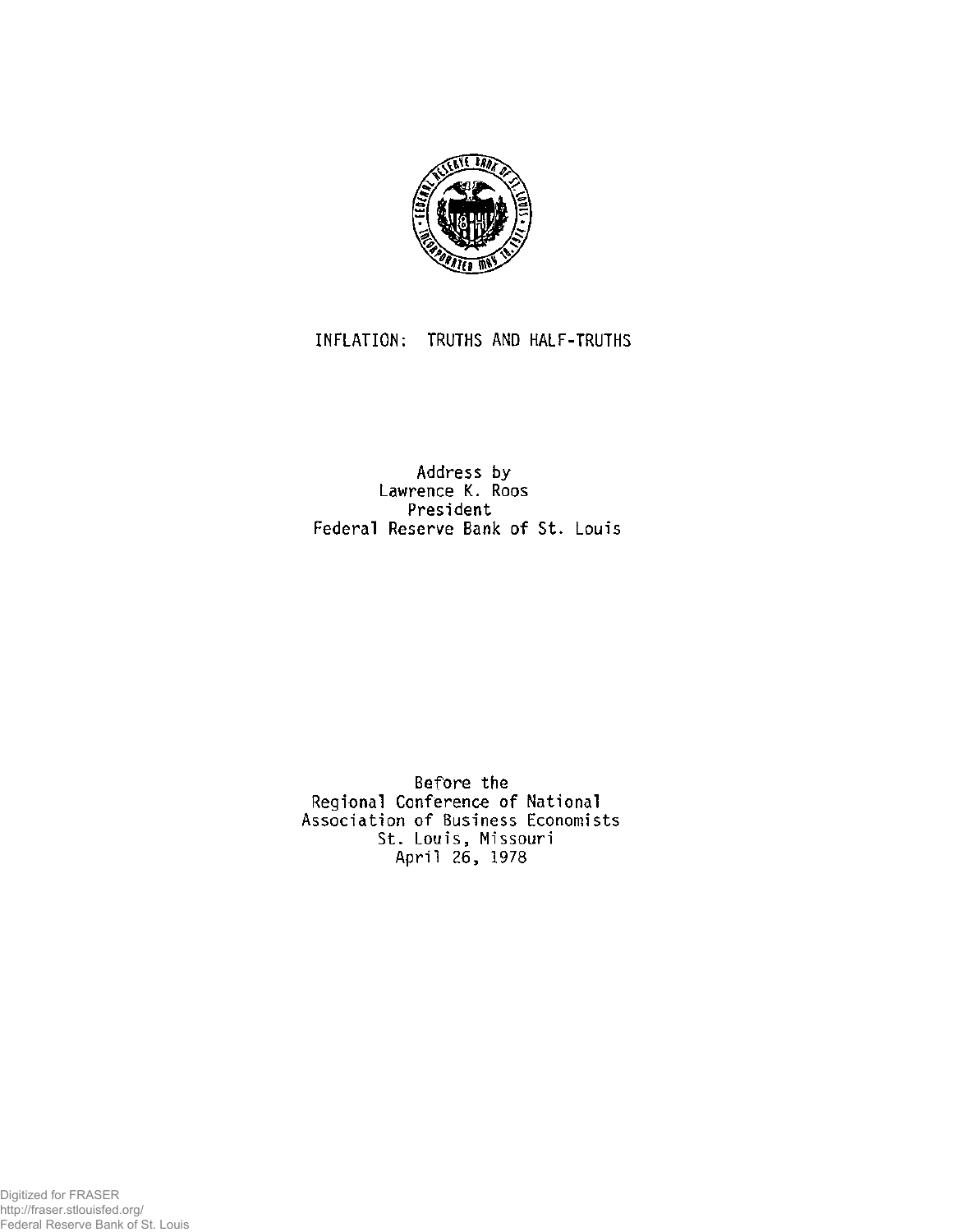

## INFLATION: TRUTHS AND HALF-TRUTHS

## Address by Lawrence K. Roos **President** Federal Reserve Bank of St. Louis

Before the Regional Conference of National Association of Business Economists St. Louis, Missouri April 26, 1978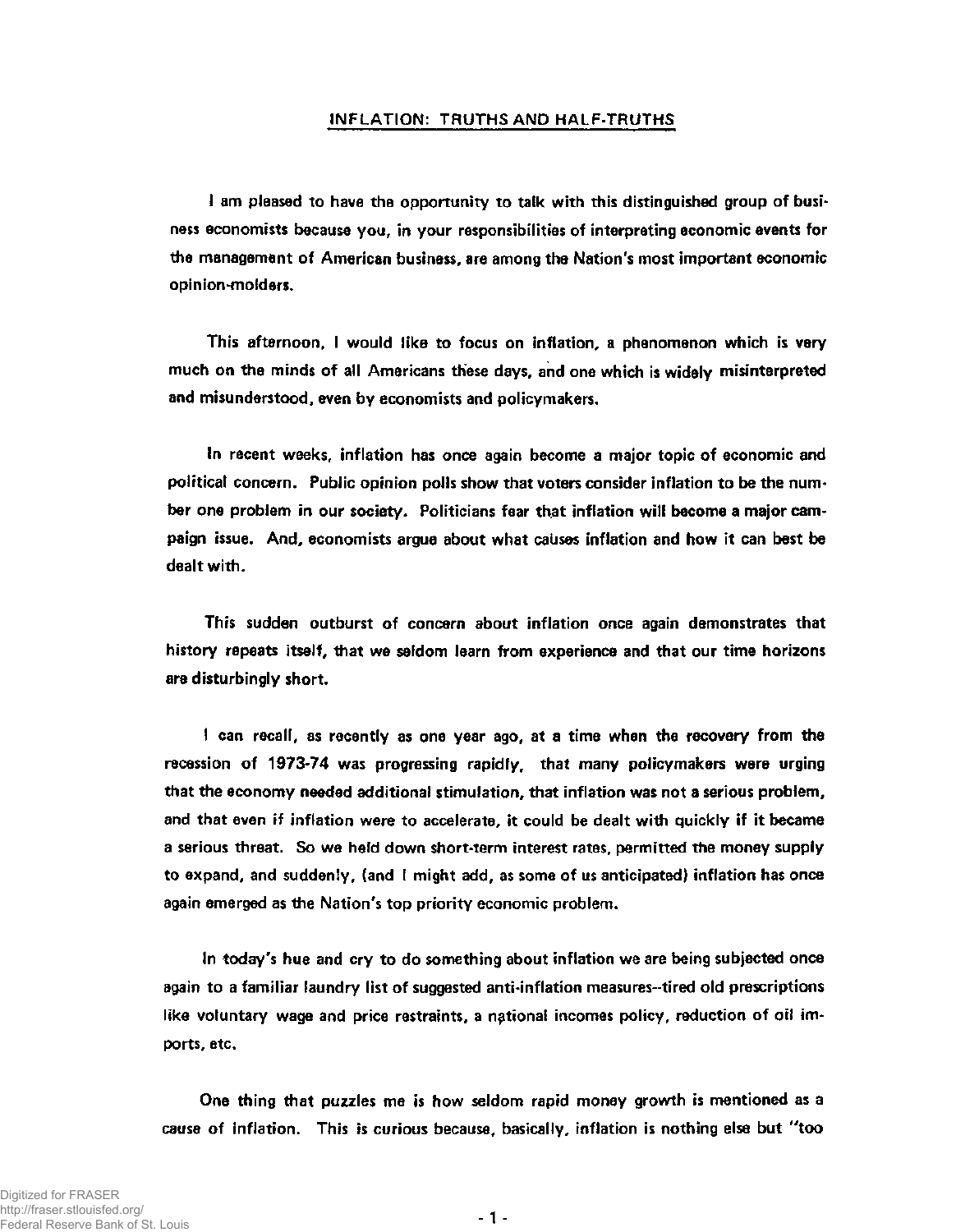## **INFLATION: TRUTHS AND HALF-TRUTHS**

**I am pleased to have the opportunity to talk with this distinguished group of business economists because you, in your responsibilities of interpreting economic events for the management of American business, are among the Nation's most important economic opinion-molders.** 

**This afternoon, I would like to focus on inflation, a phenomenon which is very much on the minds of all Americans these days, and one which is widely misinterpreted and misunderstood, even by economists and policymakers.** 

**In recent weeks, inflation has once again become a major topic of economic and political concern. Public opinion polls show that voters consider inflation to be the number one problem in our society. Politicians fear that inflation will become a major campaign issue. And, economists argue about what causes inflation and how it can best be dealt with.** 

**This sudden outburst of concern about inflation once again demonstrates that history repeats itself, that we seldom learn from experience and that our time horizons are disturbingly short.** 

**I can recall, as recently as one year ago, at a time when the recovery from the recession of 1973-74 was progressing rapidly, that many policymakers were urging that the economy needed additional stimulation, that inflation was not a serious problem, and that even if inflation were to accelerate, it could be dealt with quickly if it became a serious threat. So we held down short-term interest rates, permitted the money supply to expand, and suddenly, (and I might add, as some of us anticipated) inflation has once again emerged as the Nation's top priority economic problem.** 

**In today's hue and cry to do something about inflation we are being subjected once again to a familiar laundry list of suggested anti-inflation measures-tired old prescriptions like voluntary wage and price restraints, a national incomes policy, reduction of oil imports, etc.** 

**One thing that puzzles me is how seldom rapid money growth is mentioned as a cause of inflation. This is curious because, basically, inflation is nothing else but "too**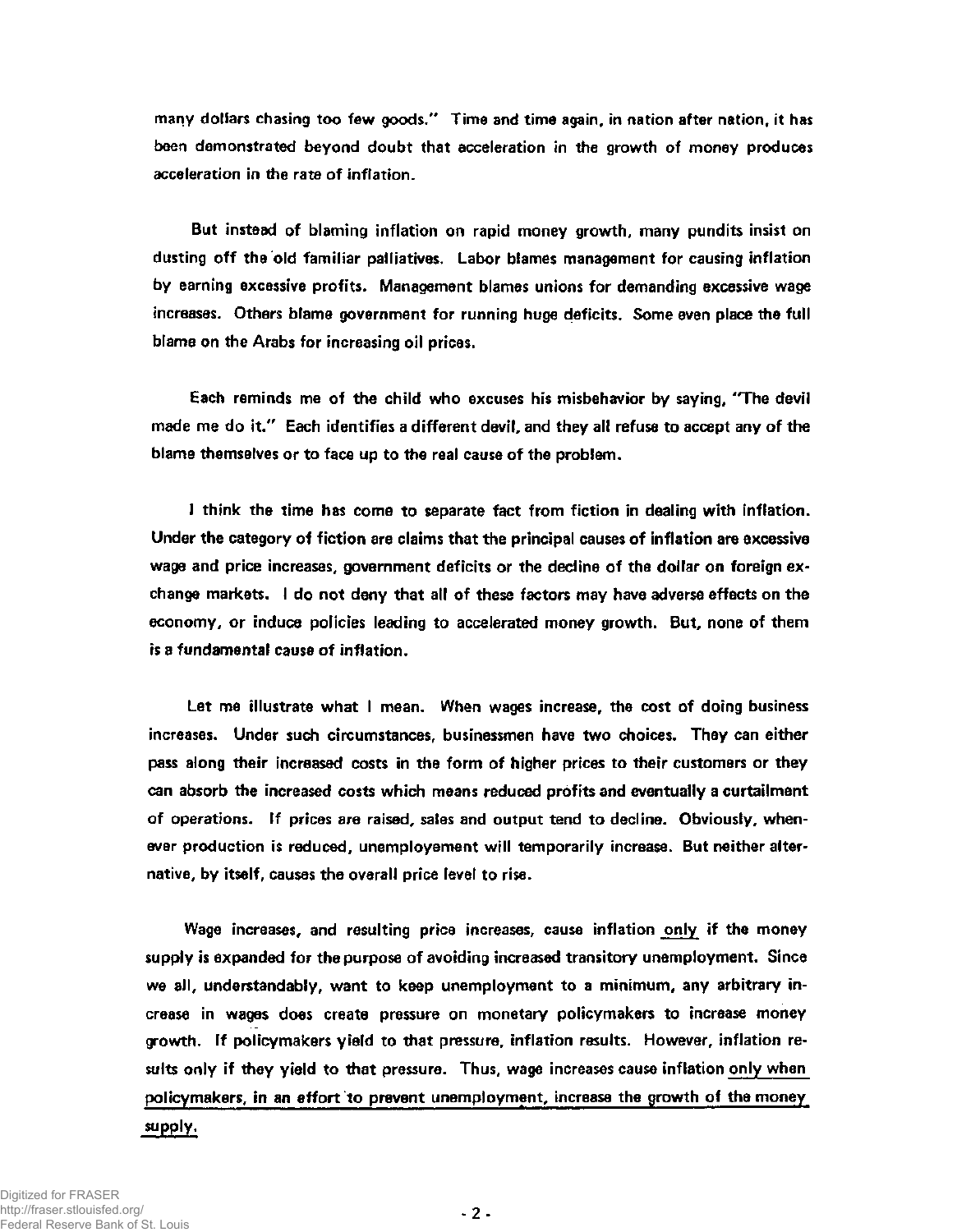**many dollars chasing too few goods." Time and time again, in nation after nation, it has been demonstrated beyond doubt that acceleration in the growth of money produces acceleration in the rate of inflation.** 

**But instead of blaming inflation on rapid money growth, many pundits insist on dusting off the old familiar palliatives. Labor blames management for causing inflation by earning excessive profits. Management blames unions for demanding excessive wage increases. Others blame government for running huge deficits. Some even place the full blame on the Arabs for increasing oil prices.** 

**Each reminds me of the child who excuses his misbehavior by saying, "The devil made me do it." Each identifies a different devil, and they all refuse to accept any of the blame themselves or to face up to the real cause of the problem.** 

**I think the time has come to separate fact from fiction in dealing with inflation. Under the category of fiction are claims that the principal causes of inflation are excessive wage and price increases, government deficits or the decline of the dollar on foreign exchange markets. I do not deny that all of these factors may have adverse effects on the economy, or induce policies leading to accelerated money growth. But, none of them is a fundamental cause of inflation.** 

**Let me illustrate what I mean. When wages increase, the cost of doing business increases. Under such circumstances, businessmen have two choices. They can either pass along their increased costs in the form of higher prices to their customers or they can absorb the increased costs which means reduced profits and eventually a curtailment of operations. If prices are raised, sales and output tend to decline. Obviously, whenever production is reduced, unemployement will temporarily increase. But neither alternative, by itself, causes the overall price level to rise.** 

**Wage increases, and resulting price increases, cause inflation only if the money supply is expanded for the purpose of avoiding increased transitory unemployment. Since we all, understandably, want to keep unemployment to a minimum, any arbitrary increase in wages does create pressure on monetary policymakers to increase money growth. If policymakers yield to that pressure, inflation results. However, inflation results only if they yield to that pressure. Thus, wage increases cause inflation only when policymakers, in an effort to prevent unemployment, increase the growth of the money** 

## **supply.**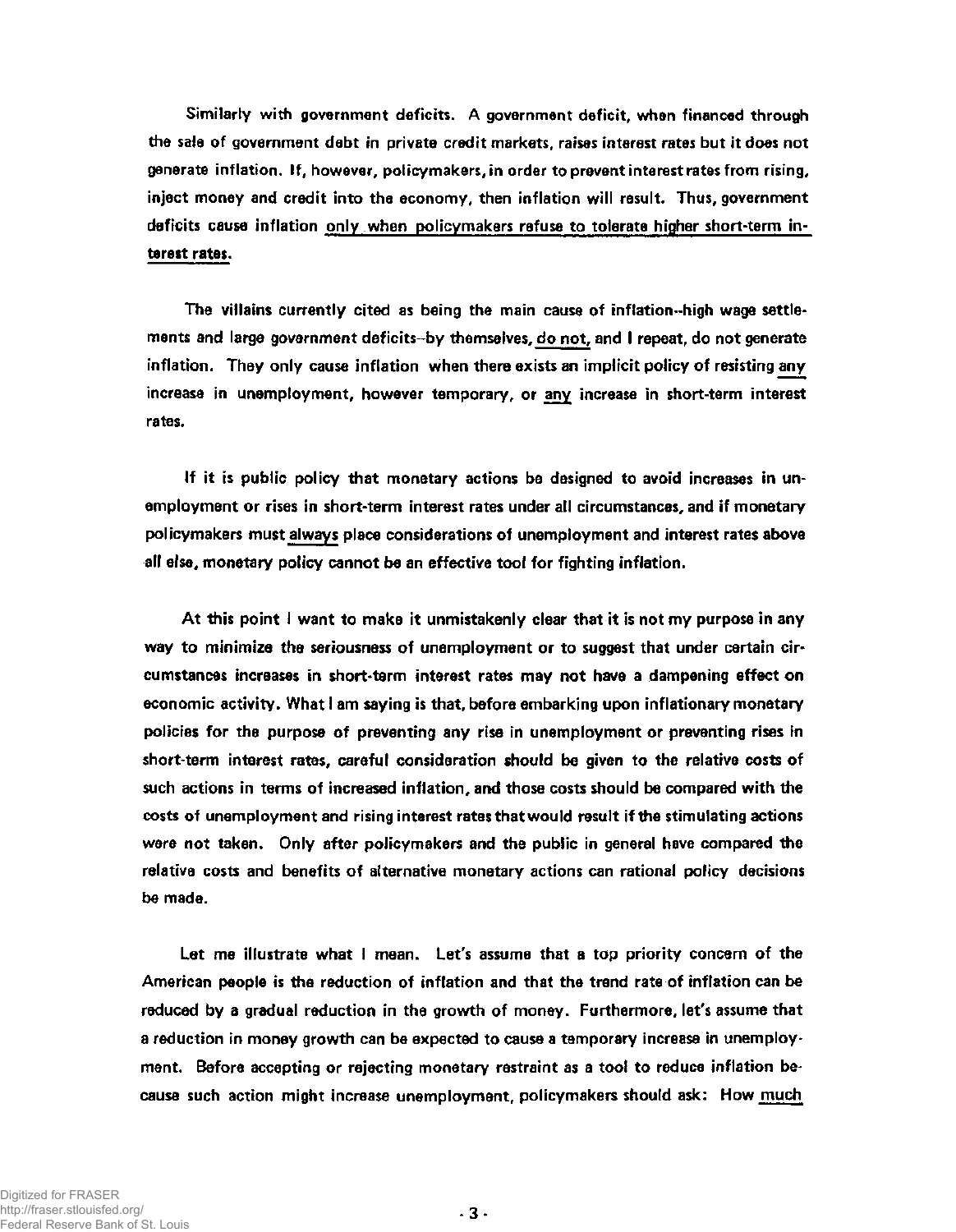**Similarly with government deficits. A government deficit, when financed through the sale of government debt in private credit markets, raises interest rates but it does not generate inflation. If, however, policymakers, in order to prevent interest rates from rising, inject money and credit into the economy, then inflation will result. Thus, government deficits cause inflation only when policymakers refuse to tolerate higher short-term interest rates.** 

**The villains currently cited as being the main cause of inflation-high wage settle**ments and large government deficits--by themselves, do not, and I repeat, do not generate **inflation. They only cause inflation when there exists an implicit policy of resisting any increase in unemployment, however temporary, or any increase in short-term interest rates.** 

**If it is public policy that monetary actions be designed to avoid increases in unemployment or rises in short-term interest rates under all circumstances, and if monetary policymakers must always place considerations of unemployment and interest rates above all else, monetary policy cannot be an effective tool for fighting inflation.** 

**At this point I want to make it unmistakenly clear that it is not my purpose in any way to minimize the seriousness of unemployment or to suggest that under certain circumstances increases in short-term interest rates may not have a dampening effect on economic activity. What I am saying is that, before embarking upon inflationary monetary policies for the purpose of preventing any rise in unemployment or preventing rises in short-term interest rates, careful consideration should be given to the relative costs of such actions in terms of increased inflation, and those costs should be compared with the costs of unemployment and rising interest rates that would result if the stimulating actions were not taken. Only after policymakers and the public in general have compared the relative costs and benefits of alternative monetary actions can rational policy decisions be made.** 

**Let me illustrate what I mean. Let's assume that a top priority concern of the American people is the reduction of inflation and that the trend rate of inflation can be reduced by a gradual reduction in the growth of money. Furthermore, let's assume that a reduction in money growth can be expected to cause a temporary increase in unemployment. Before accepting or rejecting monetary restraint as a tool to reduce inflation because such action might increase unemployment, policymakers should ask: How much**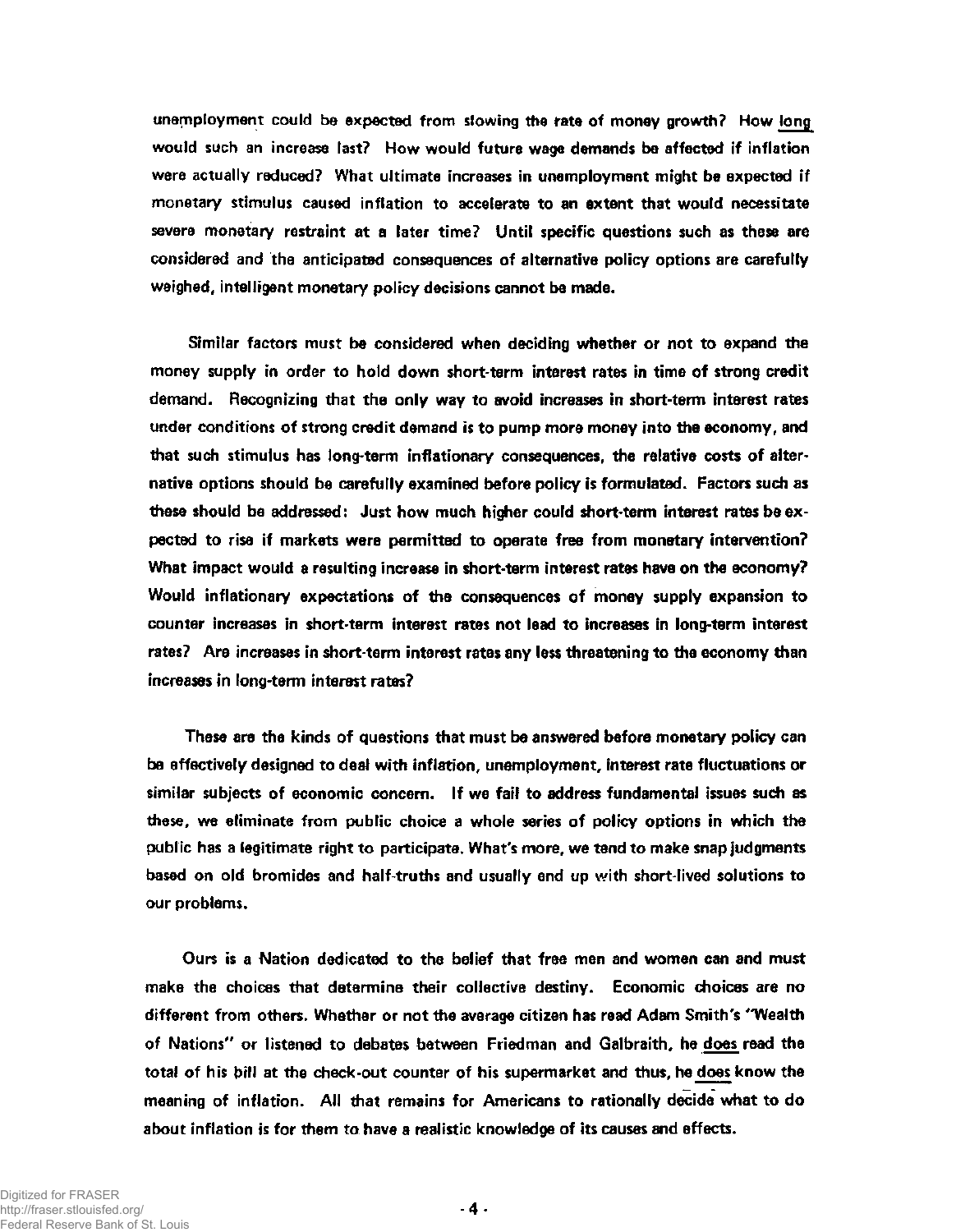**unemployment could be expected from slowing the rate of money growth? How long would such an increase last? How would future wage demands be affected if inflation were actually reduced? What ultimate increases in unemployment might be expected if monetary stimulus caused inflation to accelerate to an extent that would necessitate severe monetary restraint at a later time? Until specific questions such as these are considered and the anticipated consequences of alternative policy options are carefully weighed, intelligent monetary policy decisions cannot be made.** 

**Similar factors must be considered when deciding whether or not to expand the money supply in order to hold down short-term interest rates in time of strong credit demand. Recognizing that the only way to avoid increases in short-term interest rates under conditions of strong credit demand is to pump more money into the economy, and that such stimulus has long-term inflationary consequences, the relative costs of alternative options should be carefully examined before policy is formulated. Factors such as these should be addressed: Just how much higher could short-term interest rates be expected to rise if markets were permitted to operate free from monetary intervention? What impact would a resulting increase in short-term interest rates have on the economy? Would inflationary expectations of the consequences of money supply expansion to counter increases in short-term interest rates not lead to increases in long-term interest rates? Are increases in short-term interest rates any less threatening to the economy than increases in long-term interest rates?** 

**These are the kinds of questions that must be answered before monetary policy can be effectively designed to deal with inflation, unemployment, interest rate fluctuations or similar subjects of economic concern. If we fail to address fundamental issues such as these, we eliminate from public choice a whole series of policy options in which the public has a legitimate right to participate. What's more, we tend to make snap judgments based on old bromides and half-truths and usually end up with short-lived solutions to our problems.** 

**Ours is a Nation dedicated to the belief that free men and women can and must make the choices that determine their collective destiny. Economic choices are no different from others. Whether or not the average citizen has read Adam Smith's "Wealth of Nations" or listened to debates between Friedman and Galbraith, he does read the total of his bill at the check-out counter of his supermarket and thus, he does know the meaning of inflation. All that remains for Americans to rationally decide what to do about inflation is for them to have a realistic knowledge of its causes and effects.**